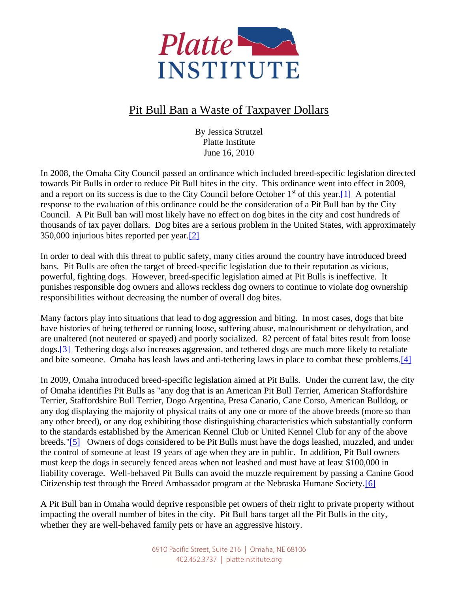

## Pit Bull Ban a Waste of Taxpayer Dollars

By Jessica Strutzel Platte Institute June 16, 2010

In 2008, the Omaha City Council passed an ordinance which included breed-specific legislation directed towards Pit Bulls in order to reduce Pit Bull bites in the city. This ordinance went into effect in 2009, and a report on its success is due to the City Council before October  $1<sup>st</sup>$  of this year. [1] A potential response to the evaluation of this ordinance could be the consideration of a Pit Bull ban by the City Council. A Pit Bull ban will most likely have no effect on dog bites in the city and cost hundreds of thousands of tax payer dollars. Dog bites are a serious problem in the United States, with approximately 350,000 injurious bites reported per year[.\[2\]](http://www.platteinstitute.org/tinymce/jscripts/tiny_mce/plugins/paste/blank.htm#_edn2)

In order to deal with this threat to public safety, many cities around the country have introduced breed bans. Pit Bulls are often the target of breed-specific legislation due to their reputation as vicious, powerful, fighting dogs. However, breed-specific legislation aimed at Pit Bulls is ineffective. It punishes responsible dog owners and allows reckless dog owners to continue to violate dog ownership responsibilities without decreasing the number of overall dog bites.

Many factors play into situations that lead to dog aggression and biting. In most cases, dogs that bite have histories of being tethered or running loose, suffering abuse, malnourishment or dehydration, and are unaltered (not neutered or spayed) and poorly socialized. 82 percent of fatal bites result from loose dogs[.\[3\]](http://www.platteinstitute.org/tinymce/jscripts/tiny_mce/plugins/paste/blank.htm#_edn3) Tethering dogs also increases aggression, and tethered dogs are much more likely to retaliate and bite someone. Omaha has leash laws and anti-tethering laws in place to combat these problems[.\[4\]](http://www.platteinstitute.org/tinymce/jscripts/tiny_mce/plugins/paste/blank.htm#_edn4)

In 2009, Omaha introduced breed-specific legislation aimed at Pit Bulls. Under the current law, the city of Omaha identifies Pit Bulls as "any dog that is an American Pit Bull Terrier, American Staffordshire Terrier, Staffordshire Bull Terrier, Dogo Argentina, Presa Canario, Cane Corso, American Bulldog, or any dog displaying the majority of physical traits of any one or more of the above breeds (more so than any other breed), or any dog exhibiting those distinguishing characteristics which substantially conform to the standards established by the American Kennel Club or United Kennel Club for any of the above breeds.["\[5\]](http://www.platteinstitute.org/tinymce/jscripts/tiny_mce/plugins/paste/blank.htm#_edn5) Owners of dogs considered to be Pit Bulls must have the dogs leashed, muzzled, and under the control of someone at least 19 years of age when they are in public. In addition, Pit Bull owners must keep the dogs in securely fenced areas when not leashed and must have at least \$100,000 in liability coverage. Well-behaved Pit Bulls can avoid the muzzle requirement by passing a Canine Good Citizenship test through the Breed Ambassador program at the Nebraska Humane Society[.\[6\]](http://www.platteinstitute.org/tinymce/jscripts/tiny_mce/plugins/paste/blank.htm#_edn6)

A Pit Bull ban in Omaha would deprive responsible pet owners of their right to private property without impacting the overall number of bites in the city. Pit Bull bans target all the Pit Bulls in the city, whether they are well-behaved family pets or have an aggressive history.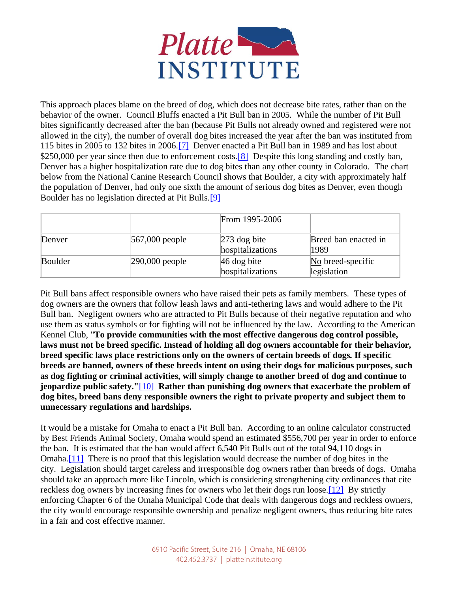

This approach places blame on the breed of dog, which does not decrease bite rates, rather than on the behavior of the owner. Council Bluffs enacted a Pit Bull ban in 2005. While the number of Pit Bull bites significantly decreased after the ban (because Pit Bulls not already owned and registered were not allowed in the city), the number of overall dog bites increased the year after the ban was instituted from 115 bites in 2005 to 132 bites in 2006[.\[7\]](http://www.platteinstitute.org/tinymce/jscripts/tiny_mce/plugins/paste/blank.htm#_edn7) Denver enacted a Pit Bull ban in 1989 and has lost about \$250,000 per year since then due to enforcement costs.<sup>[8]</sup> Despite this long standing and costly ban, Denver has a higher hospitalization rate due to dog bites than any other county in Colorado. The chart below from the National Canine Research Council shows that Boulder, a city with approximately half the population of Denver, had only one sixth the amount of serious dog bites as Denver, even though Boulder has no legislation directed at Pit Bulls[.\[9\]](http://www.platteinstitute.org/tinymce/jscripts/tiny_mce/plugins/paste/blank.htm#_edn9)

|         |                    | From 1995-2006                     |                                  |
|---------|--------------------|------------------------------------|----------------------------------|
| Denver  | $567,000$ people   | $273$ dog bite<br>hospitalizations | Breed ban enacted in<br>1989     |
| Boulder | $ 290,000 $ people | $ 46$ dog bite<br>hospitalizations | No breed-specific<br>legislation |

Pit Bull bans affect responsible owners who have raised their pets as family members. These types of dog owners are the owners that follow leash laws and anti-tethering laws and would adhere to the Pit Bull ban. Negligent owners who are attracted to Pit Bulls because of their negative reputation and who use them as status symbols or for fighting will not be influenced by the law. According to the American Kennel Club, "**To provide communities with the most effective dangerous dog control possible, laws must not be breed specific. Instead of holding all dog owners accountable for their behavior, breed specific laws place restrictions only on the owners of certain breeds of dogs. If specific breeds are banned, owners of these breeds intent on using their dogs for malicious purposes, such as dog fighting or criminal activities, will simply change to another breed of dog and continue to jeopardize public safety."**[\[10\]](http://www.platteinstitute.org/tinymce/jscripts/tiny_mce/plugins/paste/blank.htm#_edn10) **Rather than punishing dog owners that exacerbate the problem of dog bites, breed bans deny responsible owners the right to private property and subject them to unnecessary regulations and hardships.**

It would be a mistake for Omaha to enact a Pit Bull ban. According to an online calculator constructed by Best Friends Animal Society, Omaha would spend an estimated \$556,700 per year in order to enforce the ban. It is estimated that the ban would affect 6,540 Pit Bulls out of the total 94,110 dogs in Omaha[.\[11\]](http://www.platteinstitute.org/tinymce/jscripts/tiny_mce/plugins/paste/blank.htm#_edn11) There is no proof that this legislation would decrease the number of dog bites in the city. Legislation should target careless and irresponsible dog owners rather than breeds of dogs. Omaha should take an approach more like Lincoln, which is considering strengthening city ordinances that cite reckless dog owners by increasing fines for owners who let their dogs run loose[.\[12\]](http://www.platteinstitute.org/tinymce/jscripts/tiny_mce/plugins/paste/blank.htm#_edn12) By strictly enforcing Chapter 6 of the Omaha Municipal Code that deals with dangerous dogs and reckless owners, the city would encourage responsible ownership and penalize negligent owners, thus reducing bite rates in a fair and cost effective manner.